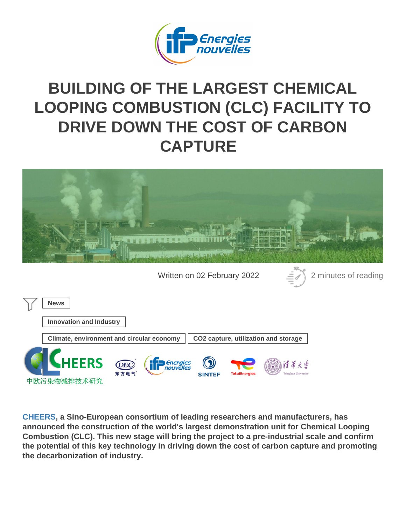# BUILDING OF THE LARGEST CHEMICAL [LOOPING COMBUSTION \(CLC\) FACILITY TO](https://www.ifpenergiesnouvelles.com/article/building-largest-chemical-looping-combustion-clc-facility-drive-down-cost-carbon-capture) [DRIVE DOWN THE COST OF CARB](https://www.ifpenergiesnouvelles.com/article/building-largest-chemical-looping-combustion-clc-facility-drive-down-cost-carbon-capture)ON **CAPTURE**

Written on 02 February 2022 2 minutes of reading

News

Innovation and Industry

Climate, environment and circular economy  $\Box$  CO2 capture, utilization and storage

[CHEERS](https://cheers-clc.eu/), a Sino-European consortium of leading researchers and manufacturers, has announced the construction of the world's largest demonstration unit for Chemical Looping Combustion (CLC). This new stage will bring the project to a pre-industrial scale and confirm the potential of this key technology in driving down the cost of carbon capture and promoting the decarbonization of industry.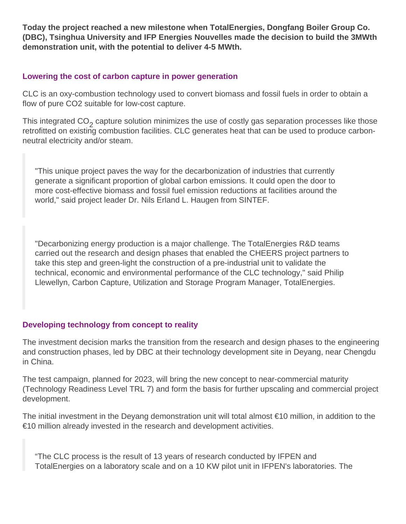**Today the project reached a new milestone when TotalEnergies, Dongfang Boiler Group Co. (DBC), Tsinghua University and IFP Energies Nouvelles made the decision to build the 3MWth demonstration unit, with the potential to deliver 4-5 MWth.**

#### **Lowering the cost of carbon capture in power generation**

CLC is an oxy-combustion technology used to convert biomass and fossil fuels in order to obtain a flow of pure CO2 suitable for low-cost capture.

This integrated  $CO_2$  capture solution minimizes the use of costly gas separation processes like those retrofitted on existing combustion facilities. CLC generates heat that can be used to produce carbonneutral electricity and/or steam.

"This unique project paves the way for the decarbonization of industries that currently generate a significant proportion of global carbon emissions. It could open the door to more cost-effective biomass and fossil fuel emission reductions at facilities around the world," said project leader Dr. Nils Erland L. Haugen from SINTEF.

"Decarbonizing energy production is a major challenge. The TotalEnergies R&D teams carried out the research and design phases that enabled the CHEERS project partners to take this step and green-light the construction of a pre-industrial unit to validate the technical, economic and environmental performance of the CLC technology," said Philip Llewellyn, Carbon Capture, Utilization and Storage Program Manager, TotalEnergies.

# **Developing technology from concept to reality**

The investment decision marks the transition from the research and design phases to the engineering and construction phases, led by DBC at their technology development site in Deyang, near Chengdu in China.

The test campaign, planned for 2023, will bring the new concept to near-commercial maturity (Technology Readiness Level TRL 7) and form the basis for further upscaling and commercial project development.

The initial investment in the Deyang demonstration unit will total almost €10 million, in addition to the €10 million already invested in the research and development activities.

"The CLC process is the result of 13 years of research conducted by IFPEN and TotalEnergies on a laboratory scale and on a 10 KW pilot unit in IFPEN's laboratories. The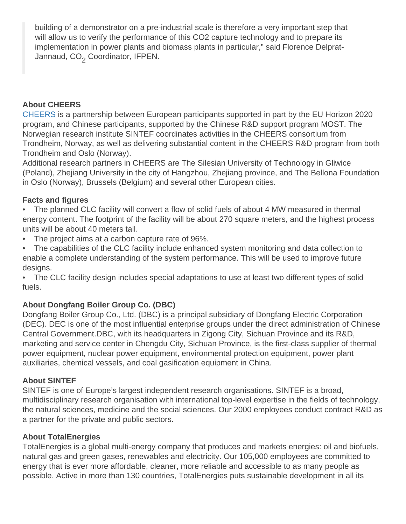building of a demonstrator on a pre-industrial scale is therefore a very important step that will allow us to verify the performance of this CO2 capture technology and to prepare its implementation in power plants and biomass plants in particular," said Florence Delprat-Jannaud, CO<sub>2</sub> Coordinator, IFPEN.

# About CHEERS

[CHEERS](https://cheers-clc.eu/) is a partnership between European participants supported in part by the EU Horizon 2020 program, and Chinese participants, supported by the Chinese R&D support program MOST. The Norwegian research institute SINTEF coordinates activities in the CHEERS consortium from Trondheim, Norway, as well as delivering substantial content in the CHEERS R&D program from both Trondheim and Oslo (Norway).

Additional research partners in CHEERS are The Silesian University of Technology in Gliwice (Poland), Zhejiang University in the city of Hangzhou, Zhejiang province, and The Bellona Foundation in Oslo (Norway), Brussels (Belgium) and several other European cities.

# Facts and figures

• The planned CLC facility will convert a flow of solid fuels of about 4 MW measured in thermal energy content. The footprint of the facility will be about 270 square meters, and the highest process units will be about 40 meters tall.

- The project aims at a carbon capture rate of 96%.
- The capabilities of the CLC facility include enhanced system monitoring and data collection to enable a complete understanding of the system performance. This will be used to improve future designs.

• The CLC facility design includes special adaptations to use at least two different types of solid fuels.

# About Dongfang Boiler Group Co. (DBC)

Dongfang Boiler Group Co., Ltd. (DBC) is a principal subsidiary of Dongfang Electric Corporation (DEC). DEC is one of the most influential enterprise groups under the direct administration of Chinese Central Government.DBC, with its headquarters in Zigong City, Sichuan Province and its R&D, marketing and service center in Chengdu City, Sichuan Province, is the first-class supplier of thermal power equipment, nuclear power equipment, environmental protection equipment, power plant auxiliaries, chemical vessels, and coal gasification equipment in China.

# About SINTEF

SINTEF is one of Europe's largest independent research organisations. SINTEF is a broad, multidisciplinary research organisation with international top-level expertise in the fields of technology, the natural sciences, medicine and the social sciences. Our 2000 employees conduct contract R&D as a partner for the private and public sectors.

# About TotalEnergies

TotalEnergies is a global multi-energy company that produces and markets energies: oil and biofuels, natural gas and green gases, renewables and electricity. Our 105,000 employees are committed to energy that is ever more affordable, cleaner, more reliable and accessible to as many people as possible. Active in more than 130 countries, TotalEnergies puts sustainable development in all its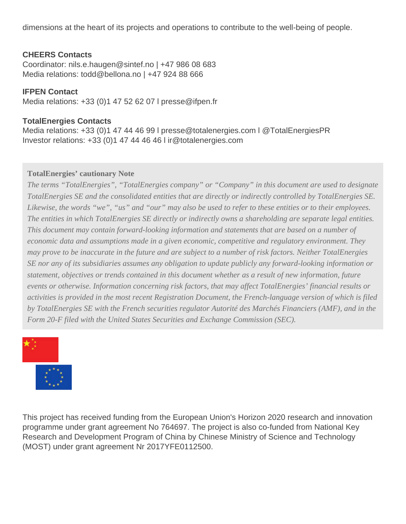dimensions at the heart of its projects and operations to contribute to the well-being of people.

#### **CHEERS Contacts**

Coordinator: nils.e.haugen@sintef.no | +47 986 08 683 Media relations: todd@bellona.no | +47 924 88 666

#### **IFPEN Contact**

Media relations: +33 (0)1 47 52 62 07 l presse@ifpen.fr

#### **TotalEnergies Contacts**

Media relations: +33 (0)1 47 44 46 99 l presse@totalenergies.com l @TotalEnergiesPR Investor relations: +33 (0)1 47 44 46 46 l ir@totalenergies.com

#### **TotalEnergies' cautionary Note**

*The terms "TotalEnergies", "TotalEnergies company" or "Company" in this document are used to designate TotalEnergies SE and the consolidated entities that are directly or indirectly controlled by TotalEnergies SE. Likewise, the words "we", "us" and "our" may also be used to refer to these entities or to their employees. The entities in which TotalEnergies SE directly or indirectly owns a shareholding are separate legal entities. This document may contain forward-looking information and statements that are based on a number of economic data and assumptions made in a given economic, competitive and regulatory environment. They may prove to be inaccurate in the future and are subject to a number of risk factors. Neither TotalEnergies SE nor any of its subsidiaries assumes any obligation to update publicly any forward-looking information or statement, objectives or trends contained in this document whether as a result of new information, future events or otherwise. Information concerning risk factors, that may affect TotalEnergies' financial results or activities is provided in the most recent Registration Document, the French-language version of which is filed by TotalEnergies SE with the French securities regulator Autorité des Marchés Financiers (AMF), and in the Form 20-F filed with the United States Securities and Exchange Commission (SEC).*



This project has received funding from the European Union's Horizon 2020 research and innovation programme under grant agreement No 764697. The project is also co-funded from National Key Research and Development Program of China by Chinese Ministry of Science and Technology (MOST) under grant agreement Nr 2017YFE0112500.